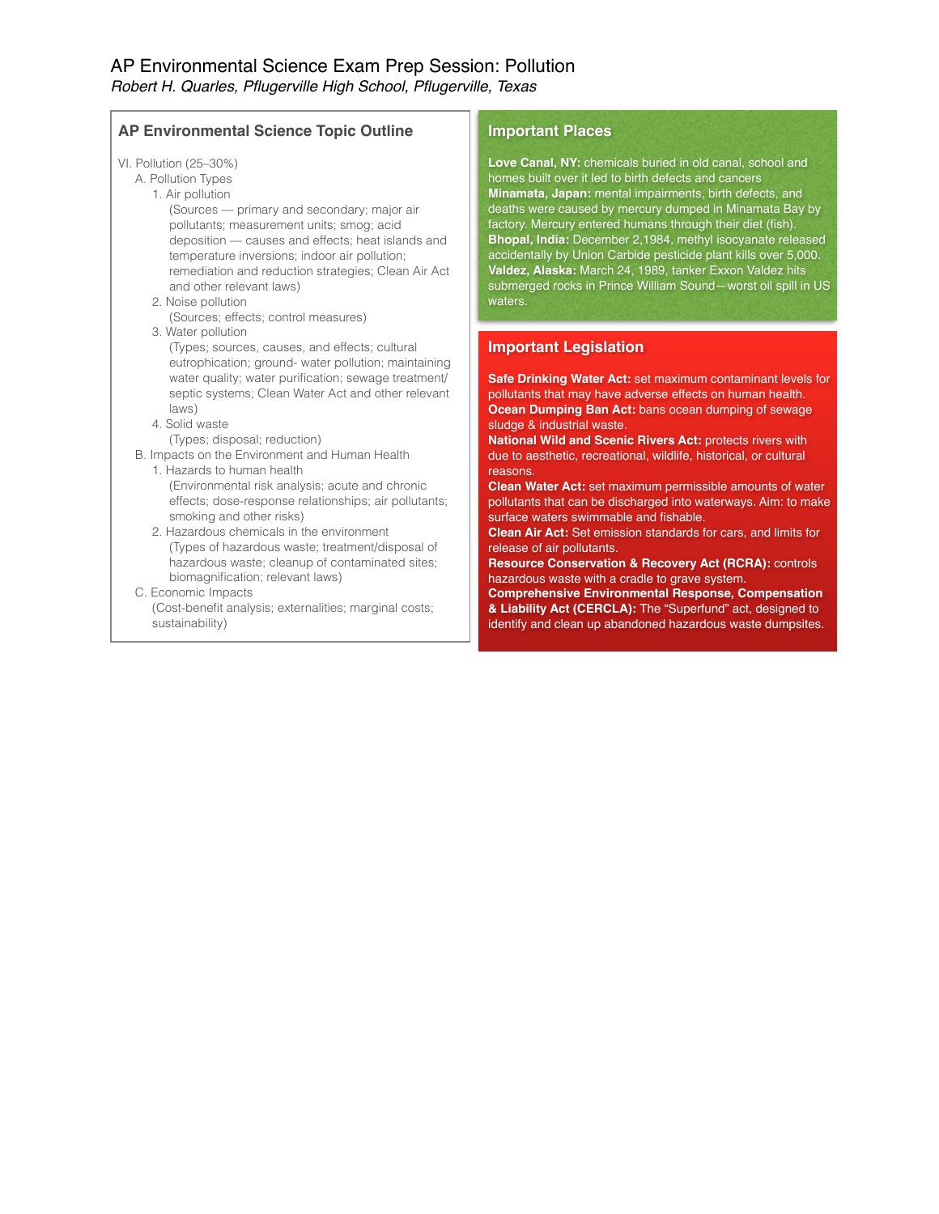| <b>AP Environmental Science Topic Outline</b>                                                                                                                                                                                                                                                                                                                                                                                                                                                                                                                                                                                                                                                                                                                                                               | <b>Important Places</b>                                                                                                                                                                                                                                                                                                                                                                                                                                                                                                                                                                                                                                                                                                                                                                                                                                                                                                                                                                           |
|-------------------------------------------------------------------------------------------------------------------------------------------------------------------------------------------------------------------------------------------------------------------------------------------------------------------------------------------------------------------------------------------------------------------------------------------------------------------------------------------------------------------------------------------------------------------------------------------------------------------------------------------------------------------------------------------------------------------------------------------------------------------------------------------------------------|---------------------------------------------------------------------------------------------------------------------------------------------------------------------------------------------------------------------------------------------------------------------------------------------------------------------------------------------------------------------------------------------------------------------------------------------------------------------------------------------------------------------------------------------------------------------------------------------------------------------------------------------------------------------------------------------------------------------------------------------------------------------------------------------------------------------------------------------------------------------------------------------------------------------------------------------------------------------------------------------------|
| VI. Pollution (25-30%)<br>A. Pollution Types<br>1. Air pollution<br>(Sources — primary and secondary; major air<br>pollutants; measurement units; smog; acid<br>deposition - causes and effects; heat islands and<br>temperature inversions; indoor air pollution;<br>remediation and reduction strategies; Clean Air Act<br>and other relevant laws)<br>2. Noise pollution<br>(Sources; effects; control measures)<br>3. Water pollution                                                                                                                                                                                                                                                                                                                                                                   | Love Canal, NY: chemicals buried in old canal, school and<br>homes built over it led to birth defects and cancers<br>Minamata, Japan: mental impairments, birth defects, and<br>deaths were caused by mercury dumped in Minamata Bay by<br>factory. Mercury entered humans through their diet (fish).<br>Bhopal, India: December 2,1984, methyl isocyanate released<br>accidentally by Union Carbide pesticide plant kills over 5,000.<br>Valdez, Alaska: March 24, 1989, tanker Exxon Valdez hits<br>submerged rocks in Prince William Sound-worst oil spill in US<br>waters.                                                                                                                                                                                                                                                                                                                                                                                                                    |
| (Types; sources, causes, and effects; cultural<br>eutrophication; ground- water pollution; maintaining<br>water quality; water purification; sewage treatment/<br>septic systems; Clean Water Act and other relevant<br>$ aws\rangle$<br>4. Solid waste<br>(Types; disposal; reduction)<br>B. Impacts on the Environment and Human Health<br>1. Hazards to human health<br>(Environmental risk analysis; acute and chronic<br>effects; dose-response relationships; air pollutants;<br>smoking and other risks)<br>2. Hazardous chemicals in the environment<br>(Types of hazardous waste; treatment/disposal of<br>hazardous waste; cleanup of contaminated sites;<br>biomagnification; relevant laws)<br>C. Economic Impacts<br>(Cost-benefit analysis; externalities; marginal costs;<br>sustainability) | <b>Important Legislation</b><br>Safe Drinking Water Act: set maximum contaminant levels for<br>pollutants that may have adverse effects on human health.<br>Ocean Dumping Ban Act: bans ocean dumping of sewage<br>sludge & industrial waste.<br>National Wild and Scenic Rivers Act: protects rivers with<br>due to aesthetic, recreational, wildlife, historical, or cultural<br>reasons.<br><b>Clean Water Act:</b> set maximum permissible amounts of water<br>pollutants that can be discharged into waterways. Aim: to make<br>surface waters swimmable and fishable.<br><b>Clean Air Act:</b> Set emission standards for cars, and limits for<br>release of air pollutants.<br><b>Resource Conservation &amp; Recovery Act (RCRA): controls</b><br>hazardous waste with a cradle to grave system.<br><b>Comprehensive Environmental Response, Compensation</b><br>& Liability Act (CERCLA): The "Superfund" act, designed to<br>identify and clean up abandoned hazardous waste dumpsites. |